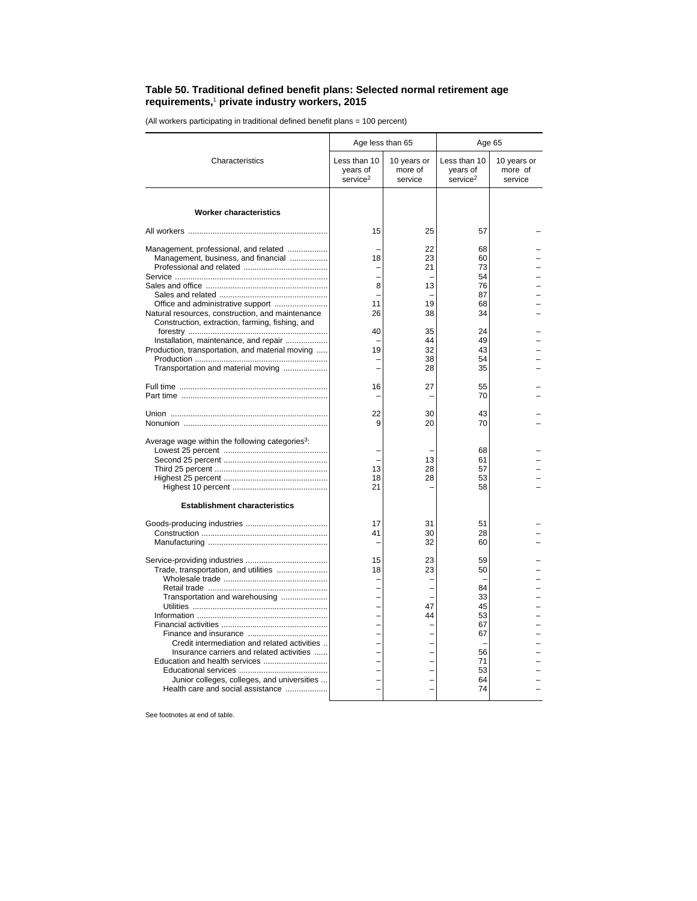## **Table 50. Traditional defined benefit plans: Selected normal retirement age requirements,**<sup>1</sup>  **private industry workers, 2015**

(All workers participating in traditional defined benefit plans = 100 percent)

|                                                                                                     | Age less than 65                                 |                                   | Age 65                                           |                                   |  |
|-----------------------------------------------------------------------------------------------------|--------------------------------------------------|-----------------------------------|--------------------------------------------------|-----------------------------------|--|
| Characteristics                                                                                     | Less than 10<br>years of<br>service <sup>2</sup> | 10 years or<br>more of<br>service | Less than 10<br>years of<br>service <sup>2</sup> | 10 years or<br>more of<br>service |  |
| <b>Worker characteristics</b>                                                                       |                                                  |                                   |                                                  |                                   |  |
|                                                                                                     | 15                                               | 25                                | 57                                               |                                   |  |
| Management, professional, and related<br>Management, business, and financial                        | 18                                               | 22<br>23<br>21                    | 68<br>60<br>73                                   |                                   |  |
|                                                                                                     |                                                  |                                   | 54                                               |                                   |  |
|                                                                                                     | 8                                                | 13                                | 76                                               |                                   |  |
|                                                                                                     |                                                  |                                   | 87                                               |                                   |  |
|                                                                                                     | 11                                               | 19                                | 68                                               |                                   |  |
| Natural resources, construction, and maintenance<br>Construction, extraction, farming, fishing, and | 26                                               | 38                                | 34                                               |                                   |  |
|                                                                                                     | 40                                               | 35                                | 24                                               |                                   |  |
| Installation, maintenance, and repair                                                               |                                                  | 44                                | 49                                               |                                   |  |
| Production, transportation, and material moving                                                     | 19                                               | 32                                | 43                                               |                                   |  |
|                                                                                                     |                                                  | 38                                | 54                                               |                                   |  |
| Transportation and material moving                                                                  |                                                  | 28                                | 35                                               |                                   |  |
|                                                                                                     | 16                                               | 27                                | 55                                               |                                   |  |
|                                                                                                     |                                                  |                                   | 70                                               |                                   |  |
|                                                                                                     |                                                  |                                   |                                                  |                                   |  |
|                                                                                                     | 22                                               | 30                                | 43                                               |                                   |  |
|                                                                                                     | 9                                                | 20                                | 70                                               |                                   |  |
| Average wage within the following categories <sup>3</sup> :                                         |                                                  |                                   | 68                                               |                                   |  |
|                                                                                                     |                                                  | 13                                | 61                                               |                                   |  |
|                                                                                                     | 13                                               | 28                                | 57                                               |                                   |  |
|                                                                                                     | 18                                               | 28                                | 53                                               |                                   |  |
|                                                                                                     | 21                                               |                                   | 58                                               |                                   |  |
|                                                                                                     |                                                  |                                   |                                                  |                                   |  |
| <b>Establishment characteristics</b>                                                                |                                                  |                                   |                                                  |                                   |  |
|                                                                                                     | 17                                               | 31                                | 51                                               |                                   |  |
|                                                                                                     | 41                                               | 30                                | 28                                               |                                   |  |
|                                                                                                     |                                                  | 32                                | 60                                               |                                   |  |
|                                                                                                     | 15                                               | 23                                | 59                                               |                                   |  |
| Trade, transportation, and utilities                                                                | 18                                               | 23                                | 50                                               |                                   |  |
|                                                                                                     |                                                  |                                   | 84                                               |                                   |  |
|                                                                                                     |                                                  |                                   | 33                                               |                                   |  |
| Transportation and warehousing                                                                      |                                                  | 47                                | 45                                               |                                   |  |
|                                                                                                     |                                                  | 44                                | 53                                               |                                   |  |
|                                                                                                     |                                                  |                                   | 67                                               |                                   |  |
|                                                                                                     |                                                  |                                   | 67                                               |                                   |  |
| Credit intermediation and related activities                                                        |                                                  |                                   |                                                  |                                   |  |
| Insurance carriers and related activities                                                           |                                                  |                                   | 56                                               |                                   |  |
| Education and health services                                                                       |                                                  |                                   | 71                                               |                                   |  |
|                                                                                                     |                                                  |                                   | 53                                               |                                   |  |
| Junior colleges, colleges, and universities                                                         |                                                  |                                   | 64                                               |                                   |  |
| Health care and social assistance                                                                   |                                                  |                                   | 74                                               |                                   |  |
|                                                                                                     |                                                  |                                   |                                                  |                                   |  |

See footnotes at end of table.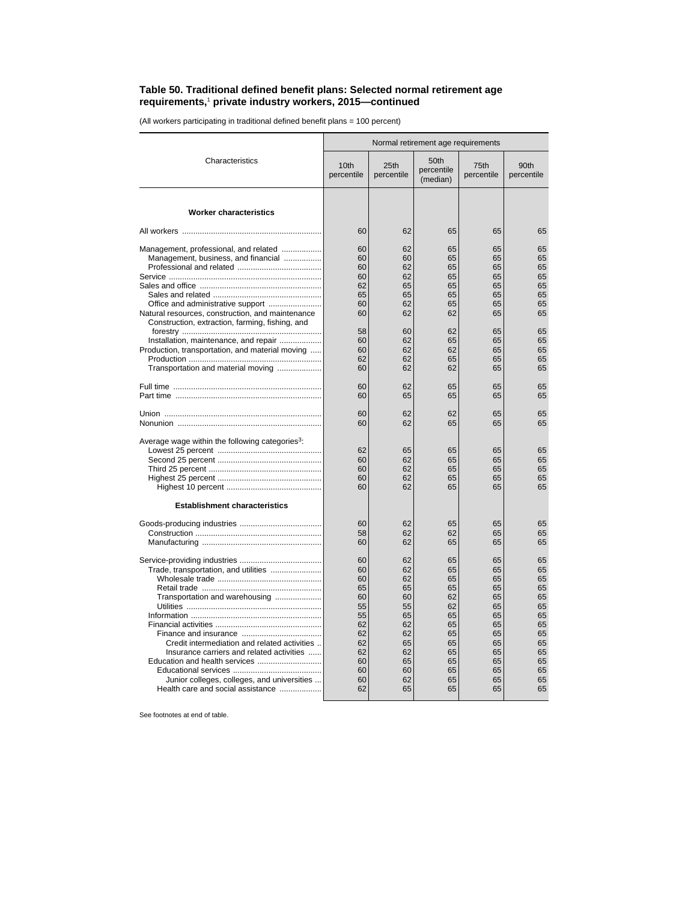## **Table 50. Traditional defined benefit plans: Selected normal retirement age requirements,**<sup>1</sup>  **private industry workers, 2015—continued**

(All workers participating in traditional defined benefit plans = 100 percent)

|                                                                                  | Normal retirement age requirements |                    |                                |                    |                    |
|----------------------------------------------------------------------------------|------------------------------------|--------------------|--------------------------------|--------------------|--------------------|
| Characteristics                                                                  | 10th<br>percentile                 | 25th<br>percentile | 50th<br>percentile<br>(median) | 75th<br>percentile | 90th<br>percentile |
| <b>Worker characteristics</b>                                                    |                                    |                    |                                |                    |                    |
|                                                                                  | 60                                 | 62                 | 65                             | 65                 | 65                 |
|                                                                                  |                                    |                    |                                |                    |                    |
| Management, professional, and related                                            | 60                                 | 62                 | 65                             | 65                 | 65                 |
| Management, business, and financial                                              | 60<br>60                           | 60<br>62           | 65                             | 65<br>65           | 65<br>65           |
|                                                                                  |                                    | 62                 | 65                             |                    | 65                 |
|                                                                                  | 60<br>62                           | 65                 | 65<br>65                       | 65<br>65           | 65                 |
|                                                                                  | 65                                 | 65                 | 65                             | 65                 | 65                 |
|                                                                                  | 60                                 | 62                 | 65                             | 65                 | 65                 |
| Natural resources, construction, and maintenance                                 | 60                                 | 62                 | 62                             | 65                 | 65                 |
| Construction, extraction, farming, fishing, and                                  |                                    |                    |                                |                    |                    |
|                                                                                  | 58                                 | 60                 | 62                             | 65                 | 65                 |
| Installation, maintenance, and repair                                            | 60                                 | 62                 | 65                             | 65                 | 65                 |
| Production, transportation, and material moving                                  | 60<br>62                           | 62<br>62           | 62                             | 65                 | 65<br>65           |
|                                                                                  |                                    |                    | 65                             | 65                 | 65                 |
| Transportation and material moving                                               | 60                                 | 62                 | 62                             | 65                 |                    |
|                                                                                  | 60                                 | 62                 | 65                             | 65                 | 65                 |
|                                                                                  | 60                                 | 65                 | 65                             | 65                 | 65                 |
|                                                                                  | 60                                 | 62                 | 62                             | 65                 | 65                 |
|                                                                                  | 60                                 | 62                 | 65                             | 65                 | 65                 |
| Average wage within the following categories <sup>3</sup> :                      |                                    |                    |                                |                    |                    |
|                                                                                  | 62                                 | 65                 | 65                             | 65                 | 65                 |
|                                                                                  | 60                                 | 62                 | 65                             | 65                 | 65                 |
|                                                                                  | 60                                 | 62                 | 65                             | 65                 | 65                 |
|                                                                                  | 60                                 | 62                 | 65                             | 65                 | 65                 |
|                                                                                  | 60                                 | 62                 | 65                             | 65                 | 65                 |
| <b>Establishment characteristics</b>                                             |                                    |                    |                                |                    |                    |
|                                                                                  |                                    |                    |                                |                    |                    |
|                                                                                  | 60                                 | 62                 | 65                             | 65                 | 65                 |
|                                                                                  | 58                                 | 62                 | 62                             | 65                 | 65                 |
|                                                                                  | 60                                 | 62                 | 65                             | 65                 | 65                 |
|                                                                                  | 60                                 | 62                 | 65                             | 65                 | 65                 |
| Trade, transportation, and utilities                                             | 60                                 | 62                 | 65                             | 65                 | 65                 |
|                                                                                  | 60                                 | 62                 | 65                             | 65                 | 65                 |
|                                                                                  | 65                                 | 65                 | 65                             | 65                 | 65                 |
| Transportation and warehousing                                                   | 60                                 | 60                 | 62                             | 65                 | 65                 |
|                                                                                  | 55                                 | 55                 | 62                             | 65                 | 65                 |
|                                                                                  | 55                                 | 65                 | 65                             | 65                 | 65                 |
|                                                                                  | 62                                 | 62                 | 65                             | 65                 | 65                 |
|                                                                                  | 62                                 | 62                 | 65                             | 65                 | 65                 |
| Credit intermediation and related activities                                     | 62                                 | 65                 | 65                             | 65                 | 65                 |
| Insurance carriers and related activities                                        | 62                                 | 62                 | 65                             | 65                 | 65                 |
|                                                                                  | 60                                 | 65                 | 65                             | 65                 | 65                 |
|                                                                                  | 60                                 | 60                 | 65                             | 65                 | 65                 |
| Junior colleges, colleges, and universities<br>Health care and social assistance | 60<br>62                           | 62<br>65           | 65<br>65                       | 65<br>65           | 65<br>65           |
|                                                                                  |                                    |                    |                                |                    |                    |

See footnotes at end of table.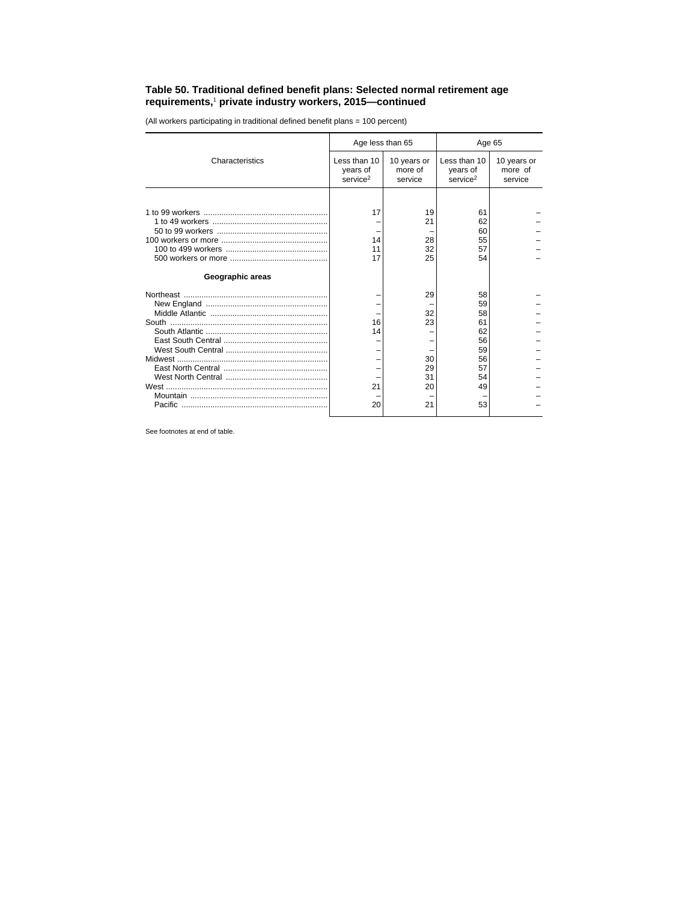## **Table 50. Traditional defined benefit plans: Selected normal retirement age requirements,**<sup>1</sup>  **private industry workers, 2015—continued**

(All workers participating in traditional defined benefit plans = 100 percent)

|                  | Age less than 65                                 |                                   |                                                  | Age 65                            |  |  |
|------------------|--------------------------------------------------|-----------------------------------|--------------------------------------------------|-----------------------------------|--|--|
| Characteristics  | Less than 10<br>years of<br>service <sup>2</sup> | 10 years or<br>more of<br>service | Less than 10<br>years of<br>service <sup>2</sup> | 10 years or<br>more of<br>service |  |  |
|                  |                                                  |                                   |                                                  |                                   |  |  |
|                  | 17                                               | 19<br>21                          | 61<br>62<br>60                                   |                                   |  |  |
|                  | 14<br>11                                         | 28<br>32                          | 55<br>57                                         |                                   |  |  |
| Geographic areas | 17                                               | 25                                | 54                                               |                                   |  |  |
|                  |                                                  |                                   | 58                                               |                                   |  |  |
|                  |                                                  | 29                                | 59                                               |                                   |  |  |
|                  | 16                                               | 32<br>23                          | 58<br>61                                         |                                   |  |  |
|                  | 14                                               |                                   | 62                                               |                                   |  |  |
|                  |                                                  |                                   | 56                                               |                                   |  |  |
|                  |                                                  | 30                                | 59<br>56                                         |                                   |  |  |
|                  |                                                  | 29<br>31                          | 57<br>54                                         |                                   |  |  |
|                  | 21                                               | 20                                | 49                                               |                                   |  |  |
|                  | 20                                               | 21                                | 53                                               |                                   |  |  |

See footnotes at end of table.